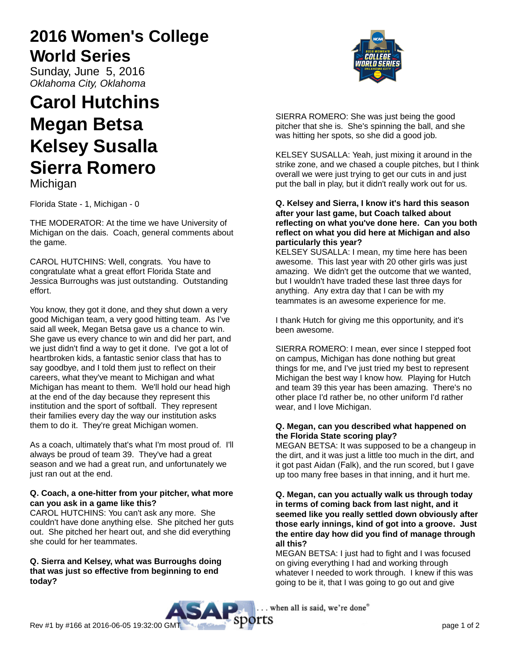# **2016 Women's College World Series**

Sunday, June 5, 2016 Oklahoma City, Oklahoma

# **Carol Hutchins Megan Betsa Kelsey Susalla Sierra Romero Michigan**

Florida State - 1, Michigan - 0

THE MODERATOR: At the time we have University of Michigan on the dais. Coach, general comments about the game.

CAROL HUTCHINS: Well, congrats. You have to congratulate what a great effort Florida State and Jessica Burroughs was just outstanding. Outstanding effort.

You know, they got it done, and they shut down a very good Michigan team, a very good hitting team. As I've said all week, Megan Betsa gave us a chance to win. She gave us every chance to win and did her part, and we just didn't find a way to get it done. I've got a lot of heartbroken kids, a fantastic senior class that has to say goodbye, and I told them just to reflect on their careers, what they've meant to Michigan and what Michigan has meant to them. We'll hold our head high at the end of the day because they represent this institution and the sport of softball. They represent their families every day the way our institution asks them to do it. They're great Michigan women.

As a coach, ultimately that's what I'm most proud of. I'll always be proud of team 39. They've had a great season and we had a great run, and unfortunately we just ran out at the end.

# **Q. Coach, a one-hitter from your pitcher, what more can you ask in a game like this?**

CAROL HUTCHINS: You can't ask any more. She couldn't have done anything else. She pitched her guts out. She pitched her heart out, and she did everything she could for her teammates.

**Q. Sierra and Kelsey, what was Burroughs doing that was just so effective from beginning to end today?**



SIERRA ROMERO: She was just being the good pitcher that she is. She's spinning the ball, and she was hitting her spots, so she did a good job.

KELSEY SUSALLA: Yeah, just mixing it around in the strike zone, and we chased a couple pitches, but I think overall we were just trying to get our cuts in and just put the ball in play, but it didn't really work out for us.

## **Q. Kelsey and Sierra, I know it's hard this season after your last game, but Coach talked about reflecting on what you've done here. Can you both reflect on what you did here at Michigan and also particularly this year?**

KELSEY SUSALLA: I mean, my time here has been awesome. This last year with 20 other girls was just amazing. We didn't get the outcome that we wanted, but I wouldn't have traded these last three days for anything. Any extra day that I can be with my teammates is an awesome experience for me.

I thank Hutch for giving me this opportunity, and it's been awesome.

SIERRA ROMERO: I mean, ever since I stepped foot on campus, Michigan has done nothing but great things for me, and I've just tried my best to represent Michigan the best way I know how. Playing for Hutch and team 39 this year has been amazing. There's no other place I'd rather be, no other uniform I'd rather wear, and I love Michigan.

# **Q. Megan, can you described what happened on the Florida State scoring play?**

MEGAN BETSA: It was supposed to be a changeup in the dirt, and it was just a little too much in the dirt, and it got past Aidan (Falk), and the run scored, but I gave up too many free bases in that inning, and it hurt me.

## **Q. Megan, can you actually walk us through today in terms of coming back from last night, and it seemed like you really settled down obviously after those early innings, kind of got into a groove. Just the entire day how did you find of manage through all this?**

MEGAN BETSA: I just had to fight and I was focused on giving everything I had and working through whatever I needed to work through. I knew if this was going to be it, that I was going to go out and give

. when all is said, we're done"